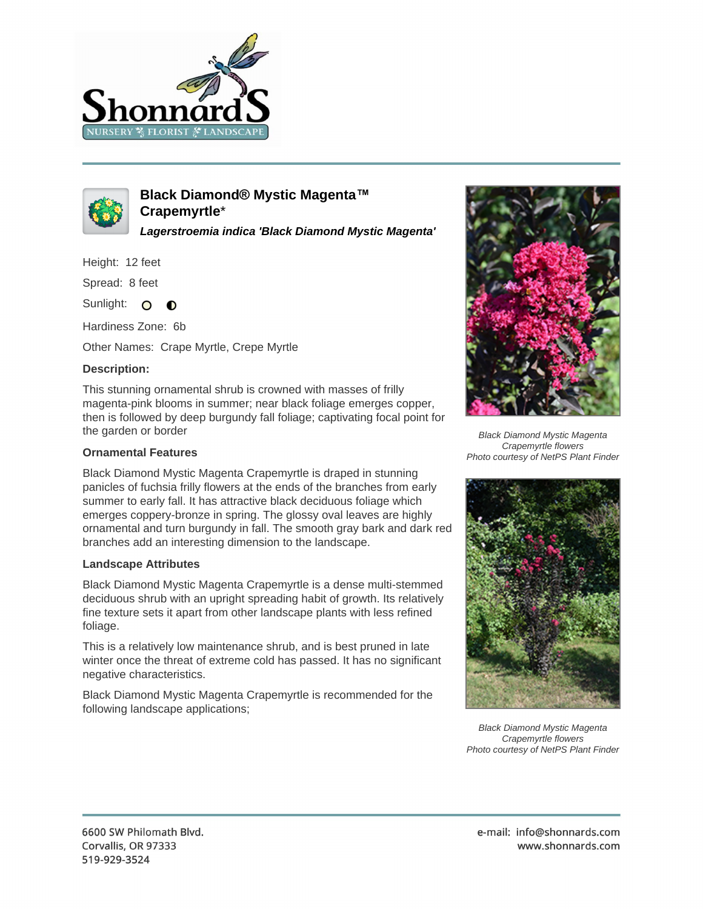



**Black Diamond® Mystic Magenta™ Crapemyrtle**\*

**Lagerstroemia indica 'Black Diamond Mystic Magenta'**

Height: 12 feet

Spread: 8 feet

Sunlight: O  $\bullet$ 

Hardiness Zone: 6b

Other Names: Crape Myrtle, Crepe Myrtle

## **Description:**

This stunning ornamental shrub is crowned with masses of frilly magenta-pink blooms in summer; near black foliage emerges copper, then is followed by deep burgundy fall foliage; captivating focal point for the garden or border

## **Ornamental Features**

Black Diamond Mystic Magenta Crapemyrtle is draped in stunning panicles of fuchsia frilly flowers at the ends of the branches from early summer to early fall. It has attractive black deciduous foliage which emerges coppery-bronze in spring. The glossy oval leaves are highly ornamental and turn burgundy in fall. The smooth gray bark and dark red branches add an interesting dimension to the landscape.

## **Landscape Attributes**

Black Diamond Mystic Magenta Crapemyrtle is a dense multi-stemmed deciduous shrub with an upright spreading habit of growth. Its relatively fine texture sets it apart from other landscape plants with less refined foliage.

This is a relatively low maintenance shrub, and is best pruned in late winter once the threat of extreme cold has passed. It has no significant negative characteristics.

Black Diamond Mystic Magenta Crapemyrtle is recommended for the following landscape applications;



Black Diamond Mystic Magenta Crapemyrtle flowers Photo courtesy of NetPS Plant Finder



Black Diamond Mystic Magenta Crapemyrtle flowers Photo courtesy of NetPS Plant Finder